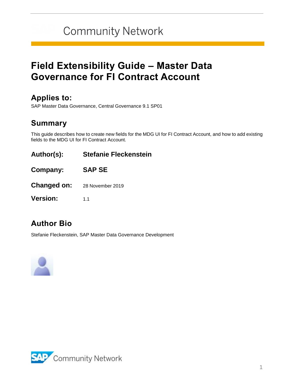# **Community Network**

## **Field Extensibility Guide – Master Data Governance for FI Contract Account**

### **Applies to:**

SAP Master Data Governance, Central Governance 9.1 SP01

### **Summary**

This guide describes how to create new fields for the MDG UI for FI Contract Account, and how to add existing fields to the MDG UI for FI Contract Account.

- **Author(s): Stefanie Fleckenstein**
- **Company: SAP SE**
- **Changed on:** 28 November 2019
- **Version:** 1.1

### **Author Bio**

Stefanie Fleckenstein, SAP Master Data Governance Development



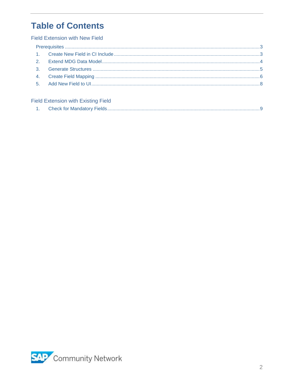## **Table of Contents**

#### **Field Extension with New Field**

#### **Field Extension with Existing Field**

<span id="page-1-0"></span>

|  | <b>Check for Mandatory Fields.</b> |
|--|------------------------------------|
|--|------------------------------------|

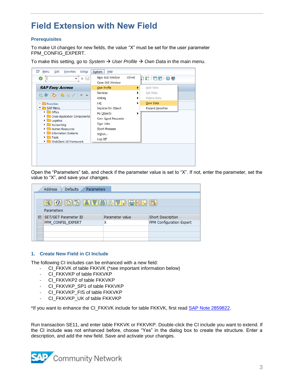## **Field Extension with New Field**

#### <span id="page-2-0"></span>**Prerequisites**

To make UI changes for new fields, the value "X" must be set for the user parameter FPM\_CONFIG\_EXPERT.

To make this setting, go to *System* → *User Profile* → *Own Data* in the main menu.



Open the "Parameters" tab, and check if the parameter value is set to "X". If not, enter the parameter, set the value to "X", and save your changes.

|  | <b>Address</b><br><b>Defaults</b><br>Parameters |                 |                          |
|--|-------------------------------------------------|-----------------|--------------------------|
|  |                                                 |                 |                          |
|  | GIBIEEISTRIM TIBEIE                             |                 |                          |
|  | Parameters                                      |                 |                          |
|  | B SET/GET Parameter ID                          | Parameter value | Short Description        |
|  | FPM CONFIG EXPERT                               | χ               | FPM Configuration Expert |
|  |                                                 |                 |                          |
|  |                                                 |                 |                          |
|  |                                                 |                 |                          |

#### <span id="page-2-1"></span>**1. Create New Field in CI Include**

The following CI includes can be enhanced with a new field:

- CI\_FKKVK of table FKKVK (\*see important information below)
- CI\_FKKVKP of table FKKVKP
- CI\_FKKVKP2 of table FKKVKP
- CI\_FKKVKP\_SP1 of table FKKVKP
- CI\_FKKVKP\_FIS of table FKKVKP
- CI\_FKKVKP\_UK of table FKKVKP

\*If you want to enhance the CI\_FKKVK include for table FKKVK, first read [SAP Note 2859822.](https://launchpad.support.sap.com/#/notes/2859822)

Run transaction SE11, and enter table FKKVK or FKKVKP. Double-click the CI include you want to extend. If the CI include was not enhanced before, choose "Yes" in the dialog box to create the structure. Enter a description, and add the new field. Save and activate your changes.

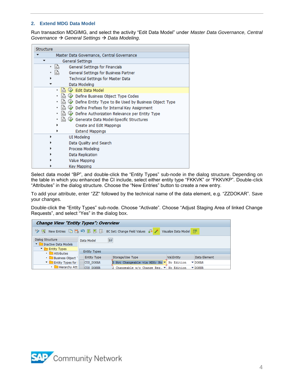#### <span id="page-3-0"></span>**2. Extend MDG Data Model**

Run transaction MDGIMG, and select the activity "Edit Data Model" under *Master Data Governance, Central Governance* → *General Settings* → *Data Modeling*.

| Structure                                                   |
|-------------------------------------------------------------|
| Master Data Governance, Central Governance                  |
| General Settings                                            |
| lå<br>General Settings for Financials<br>٠                  |
| 矗<br>General Settings for Business Partner                  |
| Technical Settings for Master Data<br>٠                     |
| Data Modeling                                               |
| 扄<br>Edit Data Model<br>٠                                   |
| 扄<br>Define Business Object Type Codes                      |
| l鷸<br>Define Entity Type to Be Used by Business Object Type |
| l rà<br>Define Prefixes for Internal Key Assignment         |
| Define Authorization Relevance per Entity Type              |
| Generate Data Model-Specific Structures                     |
| Create and Edit Mappings                                    |
| <b>Extend Mappings</b>                                      |
| UI Modeling                                                 |
| Data Quality and Search                                     |
| Process Modeling                                            |
| Data Replication                                            |
| Value Mapping                                               |
| Key Mapping                                                 |

Select data model "BP", and double-click the "Entity Types" sub-node in the dialog structure. Depending on the table in which you enhanced the CI include, select either entity type "FKKVK" or "FKKVKP". Double-click "Attributes" in the dialog structure. Choose the "New Entries" button to create a new entry.

To add your attribute, enter "ZZ" followed by the technical name of the data element, e.g. "ZZDOKAR". Save your changes.

Double-click the "Entity Types" sub-node. Choose "Activate". Choose "Adjust Staging Area of linked Change Requests", and select "Yes" in the dialog box.

| <b>Change View "Entity Types": Overview</b>       |                     |                                |                                           |                            |  |
|---------------------------------------------------|---------------------|--------------------------------|-------------------------------------------|----------------------------|--|
|                                                   |                     |                                |                                           |                            |  |
| Dialog Structure<br>Inactive Data Models          | Data Model          | <b>BP</b>                      |                                           |                            |  |
| $\blacksquare$ Entity Types<br>$\cdot$ Attributes | <b>Entity Types</b> |                                |                                           |                            |  |
| · Business Object                                 | <b>Entity Type</b>  | Storage/Use Type               | Val.Entity                                | Data Element               |  |
| Entity Types for                                  | <b>CUS DOKAR</b>    | B Not Changeable via MDG; No ▼ | No Edition                                | $\blacktriangledown$ DOKAR |  |
| · Hierarchy Att                                   | <b>CUS DOKNR</b>    |                                | 2 Changeable w/o Change Reg. ▼ No Edition | $\blacktriangledown$ DOKNR |  |

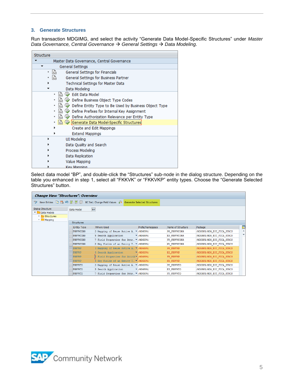#### <span id="page-4-0"></span>**3. Generate Structures**

Run transaction MDGIMG, and select the activity "Generate Data Model-Specific Structures" under *Master Data Governance, Central Governance* → *General Settings* → *Data Modeling*.

| Structure                                                   |
|-------------------------------------------------------------|
| Master Data Governance, Central Governance                  |
| General Settings                                            |
| 鬜<br>General Settings for Financials<br>٠                   |
| 矗<br>General Settings for Business Partner                  |
| Technical Settings for Master Data                          |
| Data Modeling                                               |
| ・ 1為<br><b>Edit Data Model</b>                              |
| 扄<br>Define Business Object Type Codes                      |
| k.<br>Define Entity Type to Be Used by Business Object Type |
| 鬜<br>Define Prefixes for Internal Key Assignment            |
| 扄<br>Define Authorization Relevance per Entity Type         |
| Generate Data Model-Specific Structures                     |
| Create and Edit Mappings                                    |
| <b>Extend Mappings</b>                                      |
| UI Modeling<br>٠                                            |
| Data Quality and Search                                     |
| Process Modeling                                            |
| Data Replication                                            |
| Value Mapping                                               |
| Key Manning                                                 |

Select data model "BP", and double-click the "Structures" sub-node in the dialog structure. Depending on the table you enhanced in step 1, select all "FKKVK" or "FKKVKP" entity types. Choose the "Generate Selected Structures" button.

| <b>Change View "Structures": Overview</b>                                         |                    |                                                                                                                |                               |                     |                            |   |
|-----------------------------------------------------------------------------------|--------------------|----------------------------------------------------------------------------------------------------------------|-------------------------------|---------------------|----------------------------|---|
|                                                                                   |                    | <sup>6</sup> New Entries the B. L. I. I. K. K. B. BC Set: Change Field Values and Generate Selected Structures |                               |                     |                            |   |
| Dialog Structure<br>Data Models<br>• Structures<br>$\cdot$ $\blacksquare$ Mapping | Data Model         | <b>BP</b>                                                                                                      |                               |                     |                            |   |
|                                                                                   | <b>Structures</b>  |                                                                                                                |                               |                     |                            |   |
|                                                                                   | <b>Entity Type</b> | Where Used                                                                                                     | Prefix/Namespace              | Name of Structure   | Package                    | T |
|                                                                                   | <b>FKKVKCORR</b>   | 3 Mapping of Reuse Active A. W/MDGBPX/                                                                         |                               | <b>PP FKKVKCORR</b> | /MDGBPX/MDG_ECC_FICA_STRCS | ▲ |
|                                                                                   | <b>FKKVKCORR</b>   | 5 Search Application                                                                                           | $\blacktriangledown$ /MDGBPX/ | ES FKKVKCORR        | /MDGBPX/MDG ECC FICA STRCS |   |
|                                                                                   | <b>FKKVKCORR</b>   | 7 Field Properties for Attr V/MDGBPX/                                                                          |                               | <b>FP FKKVKCORR</b> | /MDGBPX/MDG ECC FICA STRCS |   |
|                                                                                   | <b>FKKVKCORR</b>   | 8 Key Fields of an Entity T. ▼ /MDGBPX/                                                                        |                               | KY FKKVKCORR        | /MDGBPX/MDG ECC FICA STRCS |   |
|                                                                                   | <b>FKKVKP</b>      | 3 Mapping of Reuse Active A. ▼ / MDGBPX/                                                                       |                               | PP FKKVKP           | /MDGBPX/MDG ECC FICA STRCS |   |
|                                                                                   | <b>FKKVKP</b>      | 5 Search Application / /MDGBPX/                                                                                |                               | ES FKKVKP           | /MDGBPX/MDG ECC FICA STRCS |   |
|                                                                                   | <b>FKKVKP</b>      | 7 Field Properties for Attrik /MDGBPX/                                                                         |                               | FP FKKVKP           | /MDGBPX/MDG ECC FICA STRCS |   |
|                                                                                   | <b>FKKVKP</b>      | 8 Key Fields of an Entity T. ▼ /MDGBPX/                                                                        |                               | KY FKKVKP           | /MDGBPX/MDG ECC FICA STRCS |   |
|                                                                                   | <b>FKKVKTD</b>     | 3 Mapping of Reuse Active A. V / MDGBPX/                                                                       |                               | PP FKKVKTD          | /MDGBPX/MDG_ECC_FICA_STRCS |   |
|                                                                                   | <b>FKKVKTD</b>     | 5 Search Application                                                                                           | $\blacktriangledown$ /MDGBPX/ | ES FKKVKTD          | /MDGBPX/MDG ECC FICA STRCS |   |
|                                                                                   | <b>FKKVKTD</b>     | 7 Field Properties for Attr V/MDGBPX/                                                                          |                               | FP FKKVKTD          | /MDGBPX/MDG ECC FICA STRCS |   |

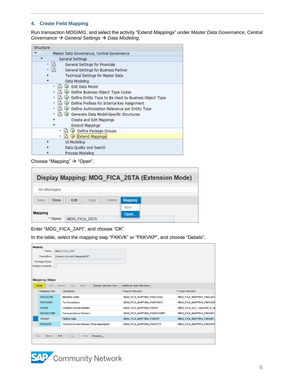#### <span id="page-5-0"></span>**4. Create Field Mapping**

Run transaction MDGIMG, and select the activity "Extend Mappings" under *Master Data Governance, Central Governance* → *General Settings* → *Data Modeling*.

| Structure                                                     |
|---------------------------------------------------------------|
| Master Data Governance, Central Governance                    |
| General Settings                                              |
| l Bà<br>General Settings for Financials<br>٠                  |
| General Settings for Business Partner                         |
| Technical Settings for Master Data                            |
| Data Modeling                                                 |
| ・ 1為<br>Edit Data Model                                       |
| <b>B</b> a<br>Define Business Object Type Codes               |
| • La<br>Define Entity Type to Be Used by Business Object Type |
| • a $\circledR$ Define Prefixes for Internal Key Assignment   |
| • [為 (少 Define Authorization Relevance per Entity Type        |
| · B ① Generate Data Model-Specific Structures                 |
| Create and Edit Mappings                                      |
| Extend Mappings                                               |
| ■ ↓ Define Package Groups                                     |
| Extend Mappings                                               |
| UI Modeling                                                   |
| Data Quality and Search                                       |
| Process Modeling                                              |

Choose "Mapping" → "Open".

| Display Mapping: MDG_FICA_2STA (Extension Mode) |          |
|-------------------------------------------------|----------|
| No Messages                                     |          |
| Edit<br>Close<br>Delete<br>Save<br>Copy         | Mapping. |
| Mapping                                         | New      |
| * Name:<br>MDG FICA 2STA                        | Open     |

Enter "MDG\_FICA\_2API", and choose "OK".

In the table, select the mapping step "FKKVK" or "FKKVKP", and choose "Details".

| Mapping               |      |                                                   |                             |                          |
|-----------------------|------|---------------------------------------------------|-----------------------------|--------------------------|
| * Name:               |      | MDG FICA 2API                                     |                             |                          |
| Description:          |      | Contract Account: Mapping2API                     |                             |                          |
| Package Group:        |      |                                                   |                             |                          |
| Multiple Contexts:    |      |                                                   |                             |                          |
|                       |      |                                                   |                             |                          |
|                       |      |                                                   |                             |                          |
| <b>Mapping Steps</b>  |      |                                                   |                             |                          |
| <b>Details</b><br>Add |      | Change Structure Keys<br>Remove<br>Copy<br>Import | Additional Input Structures |                          |
| *Mapping Step         |      | Description                                       | *Source Structure           | *Target Structure        |
| <b>FKKLOCKS</b>       |      | <b>Business Locks</b>                             | MDG FICA MAPPING FKKLOCKS   | MDG_FICA_MAPPING_FKKLOCK |
| <b>FKKTAXEX</b>       |      | <b>Tax Exemptions</b>                             | MDG FICA MAPPING FKKTAXEX   | MDG FICA MAPPING FKKTAXE |
| <b>FKKVK</b>          |      | <b>Contract Account Header</b>                    | MDG FICA MAPPING FKKVK      | MDG FICA ACC HEADER S DI |
| <b>FKKVKCORR</b>      |      | Correspondence Partners                           | MDG FICA MAPPING FKKVKCORR  | MDG FICA MAPPING FKKVKCO |
| <b>FKKVKP</b>         |      | Partner Data                                      | MDG FICA MAPPING FKKVKP     | MDG FICA MAPPING FKKVKP  |
| <b>FKKVKTD</b>        |      | Contract Account Header (Time-dependent)          | MDG_FICA_MAPPING_FKKVKTD    | MDG_FICA_MAPPING_FKKVKTD |
|                       |      |                                                   |                             |                          |
| Close<br>Save         | Edit | Delete<br>Mapping<br>Copy                         |                             |                          |
|                       |      |                                                   |                             |                          |
|                       |      |                                                   |                             |                          |

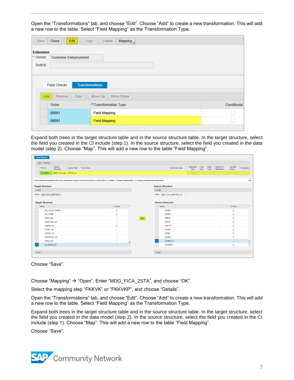Open the "Transformations" tab, and choose "Edit". Choose "Add" to create a new transformation. This will add a new row to the table. Select "Field Mapping" as the Transformation Type.

| Save                             | Close<br>Edit<br>Copy<br>                     | Delete<br>Mapping $\Box$ |             |
|----------------------------------|-----------------------------------------------|--------------------------|-------------|
| Extension<br>* Owner:<br>Switch: | <b>Customer Enhancement</b>                   |                          |             |
|                                  | <b>Transformations</b><br><b>Field Checks</b> |                          |             |
| Add                              | Remove<br>Copy                                | Move Down<br>Move Up     |             |
|                                  | Order                                         | *Transformation Type     | Conditional |
|                                  | 00001                                         | Field Mapping            |             |
|                                  | 00001                                         | <b>Field Mapping</b>     |             |
|                                  |                                               |                          |             |

Expand both trees in the target structure table and in the source structure table. In the target structure, select the field you created in the CI include (step 1). In the source structure, select the field you created in the data model (step 2). Choose "Map". This will add a new row to the table "Field Mapping".

| Add Remove               |                       |              |                                                                                                                                                                                               |                      |                     |     |                         |                             |                   |               |              |                         |                      |             |
|--------------------------|-----------------------|--------------|-----------------------------------------------------------------------------------------------------------------------------------------------------------------------------------------------|----------------------|---------------------|-----|-------------------------|-----------------------------|-------------------|---------------|--------------|-------------------------|----------------------|-------------|
| *FIELD                   | Source<br>Structure   | Source Field | Fixed Value                                                                                                                                                                                   |                      |                     |     |                         | <b>Conversion Class</b>     | Reference<br>Type | Field<br>type | Data<br>Type | Number of<br>Characters | Decimal<br>Places    | Description |
| ZZ FIELD.                | MDG_FICA_MA ZZFIELD_E |              |                                                                                                                                                                                               |                      |                     |     |                         |                             | $\Box$            |               |              |                         |                      |             |
|                          |                       |              | Tree structures are available to the user to automatically Assign or Map structure fields to a Field Check, a Condition, a Complex Transformation, or a Mapping using the appropriate button. |                      |                     |     |                         |                             |                   |               |              |                         |                      |             |
|                          |                       |              |                                                                                                                                                                                               |                      |                     |     |                         |                             |                   |               |              |                         |                      |             |
| <b>Target Structure</b>  |                       |              |                                                                                                                                                                                               |                      |                     |     | Source Structure        |                             |                   |               |              |                         |                      |             |
| Assign                   |                       |              |                                                                                                                                                                                               |                      |                     |     | Assign                  |                             |                   |               |              |                         |                      |             |
| Name: MDG_FICA_MAPPING_I |                       |              |                                                                                                                                                                                               |                      |                     |     |                         |                             |                   |               |              |                         |                      |             |
|                          |                       |              |                                                                                                                                                                                               |                      |                     |     |                         | Name: MDG_FICA_MAPPING_FK ~ |                   |               |              |                         |                      |             |
|                          |                       |              |                                                                                                                                                                                               |                      |                     |     |                         |                             |                   |               |              |                         |                      |             |
| <b>Target Structure</b>  |                       |              |                                                                                                                                                                                               |                      |                     |     | <b>Source Structure</b> |                             |                   |               |              |                         |                      |             |
| Name                     |                       |              |                                                                                                                                                                                               | Is Used              | $\hat{\phantom{a}}$ |     | Name                    |                             |                   |               |              |                         | Is Used              |             |
|                          | INV_CYCLE_START       |              |                                                                                                                                                                                               | $\blacktriangledown$ |                     |     | STOPD                   |                             |                   |               |              |                         | $\checkmark$         |             |
| INV_CURR                 |                       |              |                                                                                                                                                                                               | $\blacktriangledown$ |                     |     | <b>STOPG</b>            |                             |                   |               |              |                         | $\blacktriangledown$ |             |
| KOFIZ_SC                 |                       |              |                                                                                                                                                                                               | $\Box$               |                     | Map | STRAT                   |                             |                   |               |              |                         | $\blacktriangledown$ |             |
| ZAHLKOND_SC              |                       |              |                                                                                                                                                                                               | $\Box$               |                     |     | <b>UEBTR</b>            |                             |                   |               |              |                         | $\blacktriangledown$ |             |
| GSBER SC                 |                       |              |                                                                                                                                                                                               | $\blacktriangledown$ |                     |     | VERTYP                  |                             |                   |               |              |                         | $\blacktriangledown$ |             |
| KTOKL_SC                 |                       |              |                                                                                                                                                                                               | $\Box$               |                     |     | <b>VKONV</b>            |                             |                   |               |              |                         | $\blacktriangledown$ |             |
| INTPER_SC                |                       |              |                                                                                                                                                                                               | $\Box$               |                     |     | <b>VKPBZ</b>            |                             |                   |               |              |                         | $\blacktriangledown$ |             |
| INTPEROFF_SC             |                       |              |                                                                                                                                                                                               | $\Box$               |                     |     | <b>VWNZA</b>            |                             |                   |               |              |                         | $\blacktriangledown$ |             |
| XSALD_SC                 |                       |              |                                                                                                                                                                                               | $\Box$               |                     |     |                         | ZZFIELD_E                   |                   |               |              |                         | $\blacktriangledown$ |             |

Choose "Save".

Choose "Mapping" → "Open". Enter "MDG\_FICA\_2STA", and choose "OK".

Select the mapping step "FKKVK" or "FKKVKP", and choose "Details".

Open the "Transformations" tab, and choose "Edit". Choose "Add" to create a new transformation. This will add a new row to the table. Select "Field Mapping" as the Transformation Type.

Expand both trees in the target structure table and in the source structure table. In the target structure, select the field you created in the data model (step 2). In the source structure, select the field you created in the CI include (step 1). Choose "Map". This will add a new row to the table "Field Mapping".

Choose "Save".

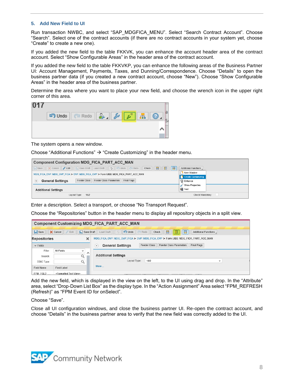#### <span id="page-7-0"></span>**5. Add New Field to UI**

Run transaction NWBC, and select "SAP\_MDGFICA\_MENU". Select "Search Contract Account". Choose "Search". Select one of the contract accounts (if there are no contract accounts in your system yet, choose "Create" to create a new one).

If you added the new field to the table FKKVK, you can enhance the account header area of the contract account. Select "Show Configurable Areas" in the header area of the contract account.

If you added the new field to the table FKKVKP, you can enhance the following areas of the Business Partner UI: Account Management, Payments, Taxes, and Dunning/Correspondence. Choose "Details" to open the business partner data (if you created a new contract account, choose "New"). Choose "Show Configurable Areas" in the header area of the business partner.

Determine the area where you want to place your new field, and choose the wrench icon in the upper right corner of this area.



The system opens a new window.

Choose "Additional Functions"  $\rightarrow$  "Create Customizing" in the header menu.

| <b>Component Configuration MDG FICA PART ACC MAN</b>                                                                                    |                           |  |  |  |  |  |
|-----------------------------------------------------------------------------------------------------------------------------------------|---------------------------|--|--|--|--|--|
| <b>BID</b><br>Save <b>X</b> Cancel <b>Edit E.</b> Save Draft Load Draft <b>4</b> $\phi$ <b>1</b> O Undo <b>C</b> Redo <b>Reck</b><br> E | Additional Functions      |  |  |  |  |  |
| MDG_FICA_OVP: MDG_OVP_FICA > OVP: MDG_FICA_OVP > Form UIBB: MDG_FICA_PART_ACC_MAN                                                       | New Window                |  |  |  |  |  |
|                                                                                                                                         | <b>Create Customizing</b> |  |  |  |  |  |
| Feeder Class Parameters<br>Feeder Class<br>Final Flags<br><b>General Settings</b><br>$\cdot$                                            | a Enhance                 |  |  |  |  |  |
|                                                                                                                                         | Show Properties           |  |  |  |  |  |
| <b>Additional Settings</b>                                                                                                              | <b>回</b> Test             |  |  |  |  |  |
| 16/2<br>Layout Type:                                                                                                                    | Check Mandatory:          |  |  |  |  |  |

Enter a description. Select a transport, or choose "No Transport Request".

Choose the "Repositories" button in the header menu to display all repository objects in a split view.

| <b>Component Customizing MDG FICA PART ACC MAN</b> |                                         |                                                                                                                                     |  |  |  |  |
|----------------------------------------------------|-----------------------------------------|-------------------------------------------------------------------------------------------------------------------------------------|--|--|--|--|
| $\Box$ Save                                        | X Cancel / Edit<br>Save Draft           | $\blacksquare$<br>$\qquad \qquad \blacksquare$<br><b>Dindo Redo</b><br>IN<br>Check<br>Load Draft<br>$\circ$<br>Additional Functions |  |  |  |  |
| <b>Repositories</b>                                | ×                                       | MDG FICA OVP: MDG OVP FICA > OVP: MDG FICA OVP > Form UIBB: MDG FICA PART ACC MAN                                                   |  |  |  |  |
| $\vee$ Fields                                      |                                         | <b>Feeder Class Parameters</b><br><b>Feeder Class</b><br><b>Final Flags</b><br><b>General Settings</b><br>₩                         |  |  |  |  |
| Filter:                                            | All Fields<br>$\checkmark$<br>Α         |                                                                                                                                     |  |  |  |  |
| Search:                                            | $Q_{\bullet}$                           | <b>Additional Settings</b>                                                                                                          |  |  |  |  |
| DDIC Type:                                         | $\bigcirc$                              | Layout Type:<br>16/2<br>$\checkmark$                                                                                                |  |  |  |  |
| Field Name                                         | <b>Field Label</b>                      | More                                                                                                                                |  |  |  |  |
| FPM FGL2                                           | <formatted text="" view=""></formatted> |                                                                                                                                     |  |  |  |  |

Add the new field, which is displayed in the view on the left, to the UI using drag and drop. In the "Attribute" area, select "Drop-Down List Box" as the display type. In the "Action Assignment" Area select "FPM\_REFRESH (Refresh)" as "FPM Event ID for onSelect".

Choose "Save".

Close all UI configuration windows, and close the business partner UI. Re-open the contract account, and choose "Details" in the business partner area to verify that the new field was correctly added to the UI.

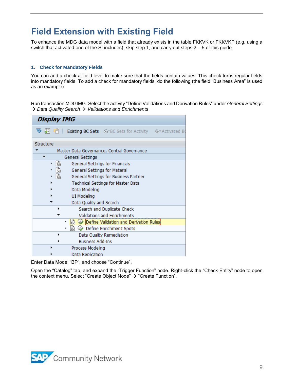## **Field Extension with Existing Field**

To enhance the MDG data model with a field that already exists in the table FKKVK or FKKVKP (e.g. using a switch that activated one of the SI includes), skip step 1, and carry out steps 2 – 5 of this guide.

#### <span id="page-8-0"></span>**1. Check for Mandatory Fields**

You can add a check at field level to make sure that the fields contain values. This check turns regular fields into mandatory fields. To add a check for mandatory fields, do the following (the field "Business Area" is used as an example):

Run transaction MDGIMG. Select the activity "Define Validations and Derivation Rules" under *General Settings*  → *Data Quality Search* → *Validations and Enrichments*.

| <b>Display IMG</b>      |                                                                         |
|-------------------------|-------------------------------------------------------------------------|
|                         | <b>V</b> \$ T F Risting BC Sets GoPBC Sets for Activity GoPActivated Bo |
| Structure               |                                                                         |
|                         | Master Data Governance, Central Governance                              |
| General Settings        |                                                                         |
| 高                       | General Settings for Financials                                         |
| • है।                   | General Settings for Material                                           |
| .                       | General Settings for Business Partner                                   |
|                         | Technical Settings for Master Data                                      |
| Data Modeling           |                                                                         |
| <b>UI Modeling</b>      |                                                                         |
| Data Quality and Search |                                                                         |
|                         | Search and Duplicate Check                                              |
|                         | Validations and Enrichments                                             |
| ٠                       | 5 V Define Validation and Derivation Rules                              |
|                         | ि ♦ Define Enrichment Spots                                             |
|                         | Data Quality Remediation                                                |
| <b>Business Add-Ins</b> |                                                                         |
| Process Modeling        |                                                                         |
| Data Replication        |                                                                         |

Enter Data Model "BP", and choose "Continue".

Open the "Catalog" tab, and expand the "Trigger Function" node. Right-click the "Check Entity" node to open the context menu. Select "Create Object Node" → "Create Function".

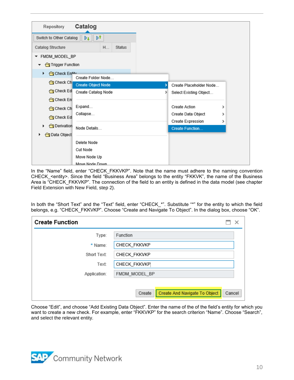| Repository                  | Catalog                   |   |                                      |   |
|-----------------------------|---------------------------|---|--------------------------------------|---|
| Switch to Other Catalog     | ÞŤ<br>Dı                  |   |                                      |   |
| Catalog Structure           | H<br><b>Status</b>        |   |                                      |   |
| FMDM_MODEL_BP<br>▼          |                           |   |                                      |   |
| Trigger Function            |                           |   |                                      |   |
| <b>G</b> Check Entitly<br>▶ | Create Folder Node        |   |                                      |   |
| <b>G</b> Check Ch           | <b>Create Object Node</b> | У | Create Placeholder Node              |   |
| <b>G</b> Check Edi          | Create Catalog Node       | × | Select Existing Object               |   |
| <b>G</b> Check En           |                           |   |                                      |   |
| Check Ch                    | Expand                    |   | Create Action                        | > |
| <b>G</b> Check Ed           | Collapse                  |   | Create Data Object                   | > |
| <b>I</b> Derivation<br>r    | Node Details              |   | Create Expression<br>Create Function | > |
| <b>O</b> Data Object        |                           |   |                                      |   |
|                             | Delete Node               |   |                                      |   |
|                             | Cut Node                  |   |                                      |   |
|                             | Move Node Up              |   |                                      |   |
|                             | Move Node Down            |   |                                      |   |

In the "Name" field, enter "CHECK\_FKKVKP". Note that the name must adhere to the naming convention CHECK\_<entity>. Since the field "Business Area" belongs to the entity "FKKVK", the name of the Business Area is "CHECK\_FKKVKP". The connection of the field to an entity is defined in the data model (see chapter Field Extension with New Field, step 2).

In both the "Short Text" and the "Text" field, enter "CHECK\_\*". Substitute "\*" for the entity to which the field belongs, e.g. "CHECK\_FKKVKP". Choose "Create and Navigate To Object". In the dialog box, choose "OK".

| <b>Create Function</b> | ×                                                 |
|------------------------|---------------------------------------------------|
| Type:                  | Function                                          |
| * Name:                | CHECK_FKKVKP                                      |
| Short Text:            | CHECK_FKKVKP                                      |
| Text:                  | CHECK_FKKVKP                                      |
| Application:           | FMDM_MODEL_BP                                     |
|                        |                                                   |
|                        | Create And Navigate To Object<br>Create<br>Cancel |

Choose "Edit", and choose "Add Existing Data Object". Enter the name of the of the field's entity for which you want to create a new check. For example, enter "FKKVKP" for the search criterion "Name". Choose "Search", and select the relevant entity.

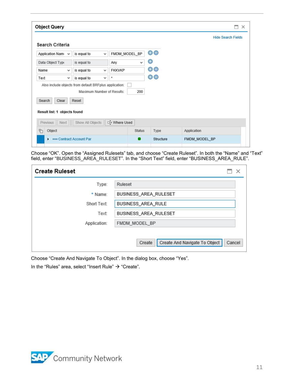| <b>Object Query</b>                                         |             |              |               |               |               |                           | $\times$ |  |
|-------------------------------------------------------------|-------------|--------------|---------------|---------------|---------------|---------------------------|----------|--|
| Search Criteria                                             |             |              |               |               |               | <b>Hide Search Fields</b> |          |  |
| Application Nam $\sim$                                      | is equal to | $\checkmark$ | FMDM MODEL BP |               | ⊕⊜            |                           |          |  |
| Data Object Type                                            | is equal to |              | Any           | v             | Θ             |                           |          |  |
| Name<br>$\checkmark$                                        | is equal to | $\checkmark$ | <b>FKKVKP</b> |               | ⊕⊝            |                           |          |  |
| Text<br>$\checkmark$                                        | is equal to | $\checkmark$ | $\star$       |               | ⊕⊜            |                           |          |  |
| Also include objects from default BRFplus application:      |             |              |               |               |               |                           |          |  |
| Maximum Number of Results:<br>200                           |             |              |               |               |               |                           |          |  |
| Clear<br>Search                                             | Reset       |              |               |               |               |                           |          |  |
| Result list: 1 objects found                                |             |              |               |               |               |                           |          |  |
| <b>□ Where Used</b><br>Show All Objects<br>Next<br>Previous |             |              |               |               |               |                           |          |  |
| ħ<br>Object                                                 |             |              |               | <b>Status</b> | Type          | Application               |          |  |
| <b>DRAG Contract Account Par</b><br>ь.                      |             |              |               | Structure     | FMDM_MODEL_BP |                           |          |  |

Choose "OK". Open the "Assigned Rulesets" tab, and choose "Create Ruleset". In both the "Name" and "Text" field, enter "BUSINESS\_AREA\_RULESET". In the "Short Text" field, enter "BUSINESS\_AREA\_RULE".

| <b>Create Ruleset</b> | ×                                                 |
|-----------------------|---------------------------------------------------|
| Type:                 | Ruleset                                           |
| * Name:               | BUSINESS_AREA_RULESET                             |
| Short Text:           | BUSINESS_AREA_RULE                                |
| Text                  | BUSINESS_AREA_RULESET                             |
| Application:          | FMDM_MODEL_BP                                     |
|                       | Create And Navigate To Object<br>Create<br>Cancel |

Choose "Create And Navigate To Object". In the dialog box, choose "Yes".

In the "Rules" area, select "Insert Rule" → "Create".

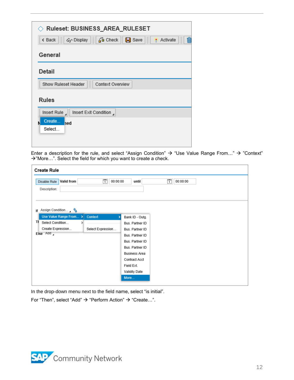| $\Diamond$ Ruleset: BUSINESS_AREA_RULESET                             |
|-----------------------------------------------------------------------|
| 俞<br>品 Check<br>« Back<br>o Display<br>$\Box$ Save<br><b>Activate</b> |
| General                                                               |
| <b>Detail</b>                                                         |
| Show Ruleset Header<br>Context Overview                               |
| <b>Rules</b>                                                          |
| Insert Rule<br>Insert Exit Condition                                  |
| Create<br>ned<br>Select                                               |
|                                                                       |
|                                                                       |

Enter a description for the rule, and select "Assign Condition" → "Use Value Range From…" → "Context" →"More…". Select the field for which you want to create a check.

| <b>Create Rule</b><br>Valid from<br>Disable Rule<br>Description: | $\overline{1}$<br>00:00:00 | until                | $\overline{1}$<br>00:00:00 |
|------------------------------------------------------------------|----------------------------|----------------------|----------------------------|
|                                                                  |                            |                      |                            |
| Assign Condition , tu<br>If                                      |                            |                      |                            |
| Use Value Range From >                                           | Context<br>٠               | Bank ID - Outg.      |                            |
| Τł<br>Select Condition<br>١,                                     |                            | Bus. Partner ID      |                            |
| Create Expression                                                | Select Expression          | Bus. Partner ID      |                            |
| Else Add                                                         |                            | Bus. Partner ID      |                            |
|                                                                  |                            | Bus. Partner ID      |                            |
|                                                                  |                            | Bus. Partner ID      |                            |
|                                                                  |                            | <b>Business Area</b> |                            |
|                                                                  |                            | Contract Acct        |                            |
|                                                                  |                            | Field Ext.           |                            |
|                                                                  |                            | Validity Date        |                            |
|                                                                  |                            | More                 |                            |
|                                                                  |                            |                      |                            |

In the drop-down menu next to the field name, select "is initial".

For "Then", select "Add" → "Perform Action" → "Create…".

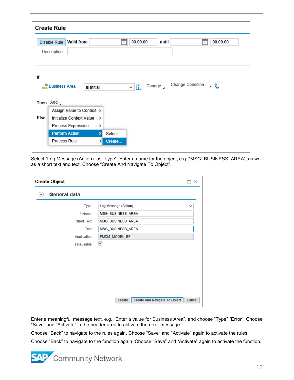|      | <b>Create Rule</b>                 |   |                                                                    |  |
|------|------------------------------------|---|--------------------------------------------------------------------|--|
|      | Valid from<br>Disable Rule         |   | Ŧ<br>Ħ<br>00:00:00<br>00:00:00<br>until                            |  |
|      | Description:                       |   |                                                                    |  |
|      |                                    |   |                                                                    |  |
|      |                                    |   |                                                                    |  |
| lf   |                                    |   |                                                                    |  |
|      | <b>Business Area</b><br>is initial |   | Change Condition 4 %<br>Change $\overline{A}$<br>$\mathbf{H}$<br>◡ |  |
|      |                                    |   |                                                                    |  |
|      | Then Add                           |   |                                                                    |  |
|      | Assign Value to Context >          |   |                                                                    |  |
| Else | Initialize Context Value           | > |                                                                    |  |
|      | Process Expression                 | > |                                                                    |  |
|      | <b>Perform Action</b>              | 5 | Select                                                             |  |
|      |                                    |   | Create                                                             |  |

Select "Log Message (Action)" as "Type". Enter a name for the object, e.g. "MSG\_BUSINESS\_AREA", as well as a short text and text. Choose "Create And Navigate To Object".

| <b>Create Object</b> |                                         | $\times$ |
|----------------------|-----------------------------------------|----------|
| General data<br>▼    |                                         |          |
| Type:                | Log Message (Action)                    | v        |
| * Name:              | MSG_BUSINESS_AREA                       |          |
| Short Text:          | MSG_BUSINESS_AREA                       |          |
| Text:                | MSG_BUSINESS_AREA                       |          |
| Application:         | FMDM_MODEL_BP                           |          |
| Is Reusable:         | √                                       |          |
|                      |                                         |          |
|                      |                                         |          |
|                      |                                         |          |
|                      |                                         |          |
|                      |                                         |          |
|                      |                                         |          |
|                      | Create And Navigate To Object<br>Create | Cancel   |

Enter a meaningful message text, e.g. "Enter a value for Business Area", and choose "Type" "Error". Choose "Save" and "Activate" in the header area to activate the error message.

Choose "Back" to navigate to the rules again. Choose "Save" and "Activate" again to activate the rules.

Choose "Back" to navigate to the function again. Choose "Save" and "Activate" again to activate the function.